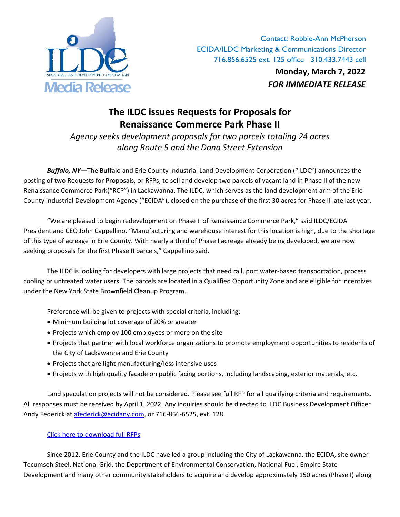

Contact: Robbie-Ann McPherson ECIDA/ILDC Marketing & Communications Director 716.856.6525 ext. 125 office 310.433.7443 cell

**Monday, March 7, 2022**

## **The ILDC issues Requests for Proposals for Renaissance Commerce Park Phase II**

*Agency seeks development proposals for two parcels totaling 24 acres along Route 5 and the Dona Street Extension*

*Buffalo, NY*—The Buffalo and Erie County Industrial Land Development Corporation ("ILDC") announces the posting of two Requests for Proposals, or RFPs, to sell and develop two parcels of vacant land in Phase II of the new Renaissance Commerce Park("RCP") in Lackawanna. The ILDC, which serves as the land development arm of the Erie County Industrial Development Agency ("ECIDA"), closed on the purchase of the first 30 acres for Phase II late last year.

"We are pleased to begin redevelopment on Phase II of Renaissance Commerce Park," said ILDC/ECIDA President and CEO John Cappellino. "Manufacturing and warehouse interest for this location is high, due to the shortage of this type of acreage in Erie County. With nearly a third of Phase I acreage already being developed, we are now seeking proposals for the first Phase II parcels," Cappellino said.

The ILDC is looking for developers with large projects that need rail, port water-based transportation, process cooling or untreated water users. The parcels are located in a Qualified Opportunity Zone and are eligible for incentives under the New York State Brownfield Cleanup Program.

Preference will be given to projects with special criteria, including:

- Minimum building lot coverage of 20% or greater
- Projects which employ 100 employees or more on the site
- Projects that partner with local workforce organizations to promote employment opportunities to residents of the City of Lackawanna and Erie County
- Projects that are light manufacturing/less intensive uses
- Projects with high quality façade on public facing portions, including landscaping, exterior materials, etc.

Land speculation projects will not be considered. Please see full RFP for all qualifying criteria and requirements. All responses must be received by April 1, 2022. Any inquiries should be directed to ILDC Business Development Officer Andy Federick at [afederick@ecidany.com,](mailto:afederick@ecidany.com) or 716-856-6525, ext. 128.

## [Click here to download full RFPs](https://www.ecidany.com/requests_for_proposals)

Since 2012, Erie County and the ILDC have led a group including the City of Lackawanna, the ECIDA, site owner Tecumseh Steel, National Grid, the Department of Environmental Conservation, National Fuel, Empire State Development and many other community stakeholders to acquire and develop approximately 150 acres (Phase I) along